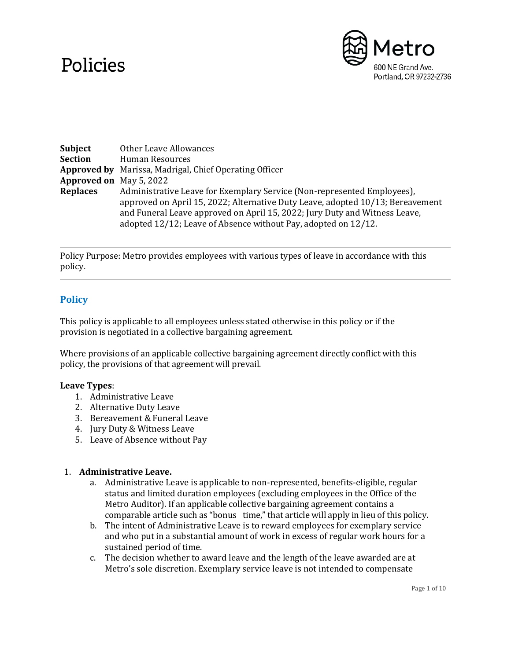# Policies



| Subject                        | Other Leave Allowances                                                         |
|--------------------------------|--------------------------------------------------------------------------------|
| Section                        | Human Resources                                                                |
|                                | <b>Approved by</b> Marissa, Madrigal, Chief Operating Officer                  |
| <b>Approved on</b> May 5, 2022 |                                                                                |
| <b>Replaces</b>                | Administrative Leave for Exemplary Service (Non-represented Employees),        |
|                                | approved on April 15, 2022; Alternative Duty Leave, adopted 10/13; Bereavement |
|                                | and Funeral Leave approved on April 15, 2022; Jury Duty and Witness Leave,     |
|                                | adopted 12/12; Leave of Absence without Pay, adopted on 12/12.                 |

Policy Purpose: Metro provides employees with various types of leave in accordance with this policy.

## **Policy**

This policy is applicable to all employees unless stated otherwise in this policy or if the provision is negotiated in a collective bargaining agreement.

Where provisions of an applicable collective bargaining agreement directly conflict with this policy, the provisions of that agreement will prevail.

### **Leave Types**:

- 1. Administrative Leave
- 2. Alternative Duty Leave
- 3. Bereavement & Funeral Leave
- 4. Jury Duty & Witness Leave
- 5. Leave of Absence without Pay

### 1. **Administrative Leave.**

- a. Administrative Leave is applicable to non-represented, benefits-eligible, regular status and limited duration employees (excluding employees in the Office of the Metro Auditor). If an applicable collective bargaining agreement contains a comparable article such as "bonus time," that article will apply in lieu of this policy.
- b. The intent of Administrative Leave is to reward employees for exemplary service and who put in a substantial amount of work in excess of regular work hours for a sustained period of time.
- c. The decision whether to award leave and the length of the leave awarded are at Metro's sole discretion. Exemplary service leave is not intended to compensate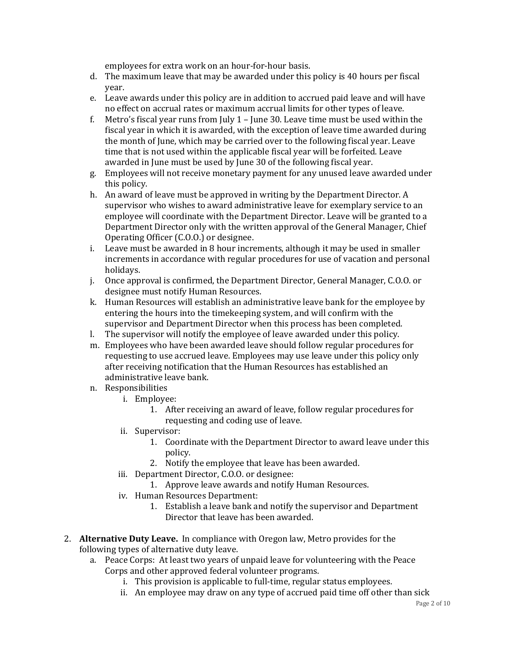employees for extra work on an hour-for-hour basis.

- d. The maximum leave that may be awarded under this policy is 40 hours per fiscal year.
- e. Leave awards under this policy are in addition to accrued paid leave and will have no effect on accrual rates or maximum accrual limits for other types of leave.
- f. Metro's fiscal year runs from July 1 June 30. Leave time must be used within the fiscal year in which it is awarded, with the exception of leave time awarded during the month of June, which may be carried over to the following fiscal year. Leave time that is not used within the applicable fiscal year will be forfeited. Leave awarded in June must be used by June 30 of the following fiscal year.
- g. Employees will not receive monetary payment for any unused leave awarded under this policy.
- h. An award of leave must be approved in writing by the Department Director. A supervisor who wishes to award administrative leave for exemplary service to an employee will coordinate with the Department Director. Leave will be granted to a Department Director only with the written approval of the General Manager, Chief Operating Officer (C.O.O.) or designee.
- i. Leave must be awarded in 8 hour increments, although it may be used in smaller increments in accordance with regular procedures for use of vacation and personal holidays.
- j. Once approval is confirmed, the Department Director, General Manager, C.O.O. or designee must notify Human Resources.
- k. Human Resources will establish an administrative leave bank for the employee by entering the hours into the timekeeping system, and will confirm with the supervisor and Department Director when this process has been completed.
- l. The supervisor will notify the employee of leave awarded under this policy.
- m. Employees who have been awarded leave should follow regular procedures for requesting to use accrued leave. Employees may use leave under this policy only after receiving notification that the Human Resources has established an administrative leave bank.
- n. Responsibilities
	- i. Employee:
		- 1. After receiving an award of leave, follow regular procedures for requesting and coding use of leave.
	- ii. Supervisor:
		- 1. Coordinate with the Department Director to award leave under this policy.
		- 2. Notify the employee that leave has been awarded.
	- iii. Department Director, C.O.O. or designee:
		- 1. Approve leave awards and notify Human Resources.
	- iv. Human Resources Department:
		- 1. Establish a leave bank and notify the supervisor and Department Director that leave has been awarded.
- 2. **Alternative Duty Leave.** In compliance with Oregon law, Metro provides for the following types of alternative duty leave.
	- a. Peace Corps: At least two years of unpaid leave for volunteering with the Peace Corps and other approved federal volunteer programs.
		- i. This provision is applicable to full-time, regular status employees.
		- ii. An employee may draw on any type of accrued paid time off other than sick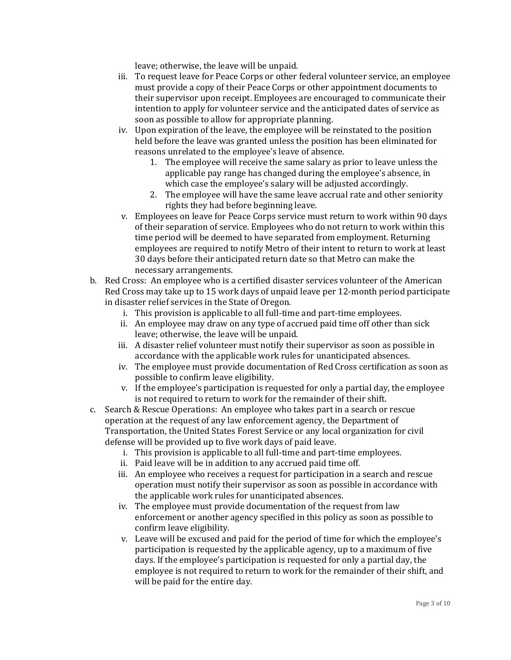leave; otherwise, the leave will be unpaid.

- iii. To request leave for Peace Corps or other federal volunteer service, an employee must provide a copy of their Peace Corps or other appointment documents to their supervisor upon receipt. Employees are encouraged to communicate their intention to apply for volunteer service and the anticipated dates of service as soon as possible to allow for appropriate planning.
- iv. Upon expiration of the leave, the employee will be reinstated to the position held before the leave was granted unless the position has been eliminated for reasons unrelated to the employee's leave of absence.
	- 1. The employee will receive the same salary as prior to leave unless the applicable pay range has changed during the employee's absence, in which case the employee's salary will be adjusted accordingly.
	- 2. The employee will have the same leave accrual rate and other seniority rights they had before beginning leave.
- v. Employees on leave for Peace Corps service must return to work within 90 days of their separation of service. Employees who do not return to work within this time period will be deemed to have separated from employment. Returning employees are required to notify Metro of their intent to return to work at least 30 days before their anticipated return date so that Metro can make the necessary arrangements.
- b. Red Cross: An employee who is a certified disaster services volunteer of the American Red Cross may take up to 15 work days of unpaid leave per 12-month period participate in disaster relief services in the State of Oregon.
	- i. This provision is applicable to all full-time and part-time employees.
	- ii. An employee may draw on any type of accrued paid time off other than sick leave; otherwise, the leave will be unpaid.
	- iii. A disaster relief volunteer must notify their supervisor as soon as possible in accordance with the applicable work rules for unanticipated absences.
	- iv. The employee must provide documentation of Red Cross certification as soon as possible to confirm leave eligibility.
	- v. If the employee's participation is requested for only a partial day, the employee is not required to return to work for the remainder of their shift.
- c. Search & Rescue Operations: An employee who takes part in a search or rescue operation at the request of any law enforcement agency, the Department of Transportation, the United States Forest Service or any local organization for civil defense will be provided up to five work days of paid leave.
	- i. This provision is applicable to all full-time and part-time employees.
	- ii. Paid leave will be in addition to any accrued paid time off.
	- iii. An employee who receives a request for participation in a search and rescue operation must notify their supervisor as soon as possible in accordance with the applicable work rules for unanticipated absences.
	- iv. The employee must provide documentation of the request from law enforcement or another agency specified in this policy as soon as possible to confirm leave eligibility.
	- v. Leave will be excused and paid for the period of time for which the employee's participation is requested by the applicable agency, up to a maximum of five days. If the employee's participation is requested for only a partial day, the employee is not required to return to work for the remainder of their shift, and will be paid for the entire day.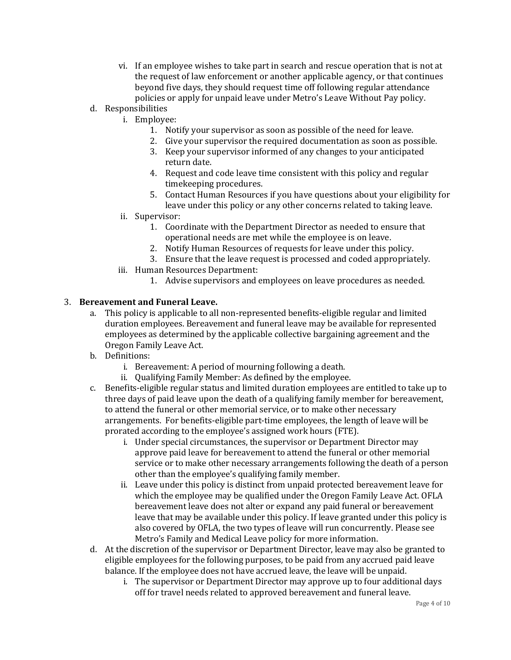- vi. If an employee wishes to take part in search and rescue operation that is not at the request of law enforcement or another applicable agency, or that continues beyond five days, they should request time off following regular attendance policies or apply for unpaid leave under Metro's Leave Without Pay policy.
- d. Responsibilities
	- i. Employee:
		- 1. Notify your supervisor as soon as possible of the need for leave.
		- 2. Give your supervisor the required documentation as soon as possible.
		- 3. Keep your supervisor informed of any changes to your anticipated return date.
		- 4. Request and code leave time consistent with this policy and regular timekeeping procedures.
		- 5. Contact Human Resources if you have questions about your eligibility for leave under this policy or any other concerns related to taking leave.
	- ii. Supervisor:
		- 1. Coordinate with the Department Director as needed to ensure that operational needs are met while the employee is on leave.
		- 2. Notify Human Resources of requests for leave under this policy.
		- 3. Ensure that the leave request is processed and coded appropriately.
	- iii. Human Resources Department:
		- 1. Advise supervisors and employees on leave procedures as needed.

### 3. **Bereavement and Funeral Leave.**

- a. This policy is applicable to all non-represented benefits-eligible regular and limited duration employees. Bereavement and funeral leave may be available for represented employees as determined by the applicable collective bargaining agreement and the Oregon Family Leave Act.
- b. Definitions:
	- i. Bereavement: A period of mourning following a death.
	- ii. Qualifying Family Member: As defined by the employee.
- c. Benefits-eligible regular status and limited duration employees are entitled to take up to three days of paid leave upon the death of a qualifying family member for bereavement, to attend the funeral or other memorial service, or to make other necessary arrangements. For benefits-eligible part-time employees, the length of leave will be prorated according to the employee's assigned work hours (FTE).
	- i. Under special circumstances, the supervisor or Department Director may approve paid leave for bereavement to attend the funeral or other memorial service or to make other necessary arrangements following the death of a person other than the employee's qualifying family member.
	- ii. Leave under this policy is distinct from unpaid protected bereavement leave for which the employee may be qualified under the Oregon Family Leave Act. OFLA bereavement leave does not alter or expand any paid funeral or bereavement leave that may be available under this policy. If leave granted under this policy is also covered by OFLA, the two types of leave will run concurrently. Please see Metro's Family and Medical Leave policy for more information.
- d. At the discretion of the supervisor or Department Director, leave may also be granted to eligible employees for the following purposes, to be paid from any accrued paid leave balance. If the employee does not have accrued leave, the leave will be unpaid.
	- i. The supervisor or Department Director may approve up to four additional days off for travel needs related to approved bereavement and funeral leave.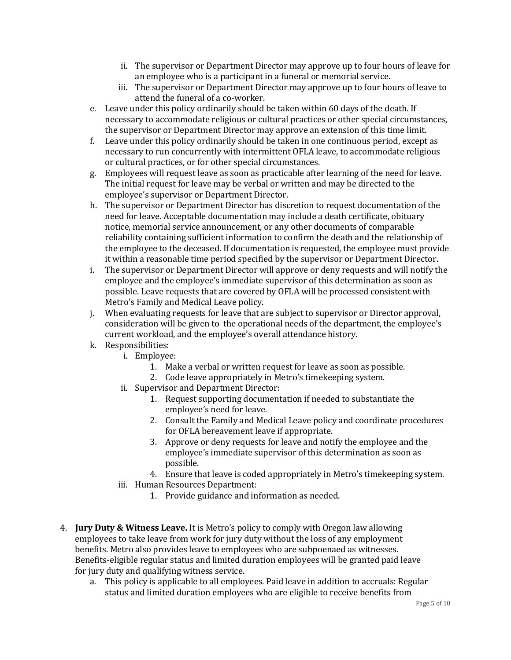- ii. The supervisor or Department Director may approve up to four hours of leave for an employee who is a participant in a funeral or memorial service.
- iii. The supervisor or Department Director may approve up to four hours of leave to attend the funeral of a co-worker.
- e. Leave under this policy ordinarily should be taken within 60 days of the death. If necessary to accommodate religious or cultural practices or other special circumstances, the supervisor or Department Director may approve an extension of this time limit.
- f. Leave under this policy ordinarily should be taken in one continuous period, except as necessary to run concurrently with intermittent OFLA leave, to accommodate religious or cultural practices, or for other special circumstances.
- g. Employees will request leave as soon as practicable after learning of the need for leave. The initial request for leave may be verbal or written and may be directed to the employee's supervisor or Department Director.
- h. The supervisor or Department Director has discretion to request documentation of the need for leave. Acceptable documentation may include a death certificate, obituary notice, memorial service announcement, or any other documents of comparable reliability containing sufficient information to confirm the death and the relationship of the employee to the deceased. If documentation is requested, the employee must provide it within a reasonable time period specified by the supervisor or Department Director.
- i. The supervisor or Department Director will approve or deny requests and will notify the employee and the employee's immediate supervisor of this determination as soon as possible. Leave requests that are covered by OFLA will be processed consistent with Metro's Family and Medical Leave policy.
- j. When evaluating requests for leave that are subject to supervisor or Director approval, consideration will be given to the operational needs of the department, the employee's current workload, and the employee's overall attendance history.
- k. Responsibilities:
	- i. Employee:
		- 1. Make a verbal or written request for leave as soon as possible.
		- 2. Code leave appropriately in Metro's timekeeping system.
	- ii. Supervisor and Department Director:
		- 1. Request supporting documentation if needed to substantiate the employee's need for leave.
		- 2. Consult the Family and Medical Leave policy and coordinate procedures for OFLA bereavement leave if appropriate.
		- 3. Approve or deny requests for leave and notify the employee and the employee's immediate supervisor of this determination as soon as possible.
		- 4. Ensure that leave is coded appropriately in Metro's timekeeping system.
	- iii. Human Resources Department:
		- 1. Provide guidance and information as needed.
- 4. **Jury Duty & Witness Leave.** It is Metro's policy to comply with Oregon law allowing employees to take leave from work for jury duty without the loss of any employment benefits. Metro also provides leave to employees who are subpoenaed as witnesses. Benefits-eligible regular status and limited duration employees will be granted paid leave for jury duty and qualifying witness service.
	- a. This policy is applicable to all employees. Paid leave in addition to accruals: Regular status and limited duration employees who are eligible to receive benefits from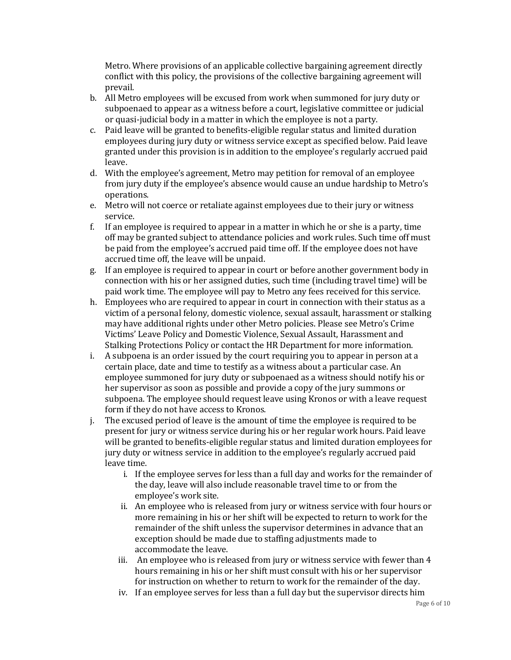Metro. Where provisions of an applicable collective bargaining agreement directly conflict with this policy, the provisions of the collective bargaining agreement will prevail.

- b. All Metro employees will be excused from work when summoned for jury duty or subpoenaed to appear as a witness before a court, legislative committee or judicial or quasi-judicial body in a matter in which the employee is not a party.
- c. Paid leave will be granted to benefits-eligible regular status and limited duration employees during jury duty or witness service except as specified below. Paid leave granted under this provision is in addition to the employee's regularly accrued paid leave.
- d. With the employee's agreement, Metro may petition for removal of an employee from jury duty if the employee's absence would cause an undue hardship to Metro's operations.
- e. Metro will not coerce or retaliate against employees due to their jury or witness service.
- f. If an employee is required to appear in a matter in which he or she is a party, time off may be granted subject to attendance policies and work rules. Such time off must be paid from the employee's accrued paid time off. If the employee does not have accrued time off, the leave will be unpaid.
- g. If an employee is required to appear in court or before another government body in connection with his or her assigned duties, such time (including travel time) will be paid work time. The employee will pay to Metro any fees received for this service.
- h. Employees who are required to appear in court in connection with their status as a victim of a personal felony, domestic violence, sexual assault, harassment or stalking may have additional rights under other Metro policies. Please see Metro's Crime Victims' Leave Policy and Domestic Violence, Sexual Assault, Harassment and Stalking Protections Policy or contact the HR Department for more information.
- i. A subpoena is an order issued by the court requiring you to appear in person at a certain place, date and time to testify as a witness about a particular case. An employee summoned for jury duty or subpoenaed as a witness should notify his or her supervisor as soon as possible and provide a copy of the jury summons or subpoena. The employee should request leave using Kronos or with a leave request form if they do not have access to Kronos.
- j. The excused period of leave is the amount of time the employee is required to be present for jury or witness service during his or her regular work hours. Paid leave will be granted to benefits-eligible regular status and limited duration employees for jury duty or witness service in addition to the employee's regularly accrued paid leave time.
	- i. If the employee serves for less than a full day and works for the remainder of the day, leave will also include reasonable travel time to or from the employee's work site.
	- ii. An employee who is released from jury or witness service with four hours or more remaining in his or her shift will be expected to return to work for the remainder of the shift unless the supervisor determines in advance that an exception should be made due to staffing adjustments made to accommodate the leave.
	- iii. An employee who is released from jury or witness service with fewer than 4 hours remaining in his or her shift must consult with his or her supervisor for instruction on whether to return to work for the remainder of the day.
	- iv. If an employee serves for less than a full day but the supervisor directs him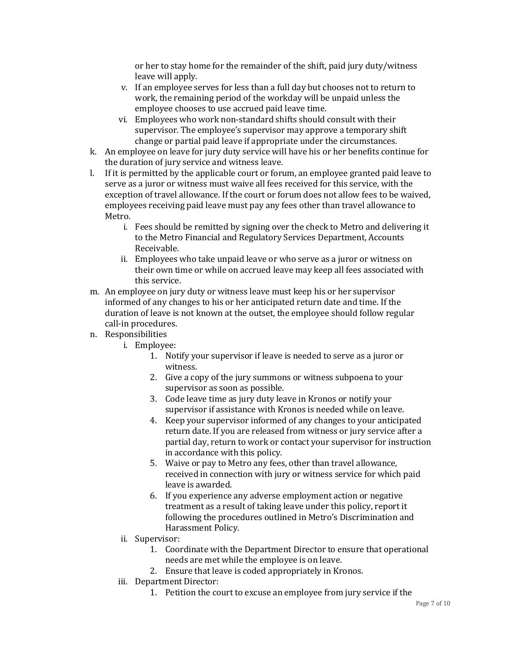or her to stay home for the remainder of the shift, paid jury duty/witness leave will apply.

- v. If an employee serves for less than a full day but chooses not to return to work, the remaining period of the workday will be unpaid unless the employee chooses to use accrued paid leave time.
- vi. Employees who work non-standard shifts should consult with their supervisor. The employee's supervisor may approve a temporary shift change or partial paid leave if appropriate under the circumstances.
- k. An employee on leave for jury duty service will have his or her benefits continue for the duration of jury service and witness leave.
- l. If it is permitted by the applicable court or forum, an employee granted paid leave to serve as a juror or witness must waive all fees received for this service, with the exception of travel allowance. If the court or forum does not allow fees to be waived, employees receiving paid leave must pay any fees other than travel allowance to Metro.
	- i. Fees should be remitted by signing over the check to Metro and delivering it to the Metro Financial and Regulatory Services Department, Accounts Receivable.
	- ii. Employees who take unpaid leave or who serve as a juror or witness on their own time or while on accrued leave may keep all fees associated with this service.
- m. An employee on jury duty or witness leave must keep his or her supervisor informed of any changes to his or her anticipated return date and time. If the duration of leave is not known at the outset, the employee should follow regular call-in procedures.
- n. Responsibilities
	- i. Employee:
		- 1. Notify your supervisor if leave is needed to serve as a juror or witness.
		- 2. Give a copy of the jury summons or witness subpoena to your supervisor as soon as possible.
		- 3. Code leave time as jury duty leave in Kronos or notify your supervisor if assistance with Kronos is needed while on leave.
		- 4. Keep your supervisor informed of any changes to your anticipated return date. If you are released from witness or jury service after a partial day, return to work or contact your supervisor for instruction in accordance with this policy.
		- 5. Waive or pay to Metro any fees, other than travel allowance, received in connection with jury or witness service for which paid leave is awarded.
		- 6. If you experience any adverse employment action or negative treatment as a result of taking leave under this policy, report it following the procedures outlined in Metro's Discrimination and Harassment Policy.
	- ii. Supervisor:
		- 1. Coordinate with the Department Director to ensure that operational needs are met while the employee is on leave.
		- 2. Ensure that leave is coded appropriately in Kronos.
	- iii. Department Director:
		- 1. Petition the court to excuse an employee from jury service if the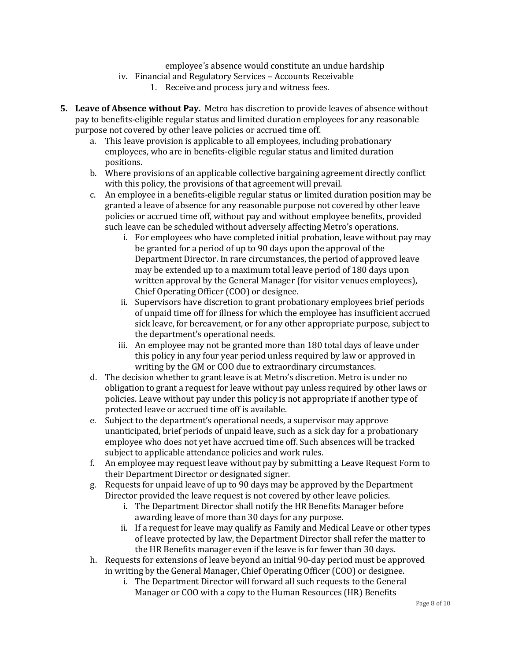employee's absence would constitute an undue hardship

- iv. Financial and Regulatory Services Accounts Receivable
	- 1. Receive and process jury and witness fees.
- **5. Leave of Absence without Pay.** Metro has discretion to provide leaves of absence without pay to benefits-eligible regular status and limited duration employees for any reasonable purpose not covered by other leave policies or accrued time off.
	- a. This leave provision is applicable to all employees, including probationary employees, who are in benefits-eligible regular status and limited duration positions.
	- b. Where provisions of an applicable collective bargaining agreement directly conflict with this policy, the provisions of that agreement will prevail.
	- c. An employee in a benefits-eligible regular status or limited duration position may be granted a leave of absence for any reasonable purpose not covered by other leave policies or accrued time off, without pay and without employee benefits, provided such leave can be scheduled without adversely affecting Metro's operations.
		- i. For employees who have completed initial probation, leave without pay may be granted for a period of up to 90 days upon the approval of the Department Director. In rare circumstances, the period of approved leave may be extended up to a maximum total leave period of 180 days upon written approval by the General Manager (for visitor venues employees), Chief Operating Officer (COO) or designee.
		- ii. Supervisors have discretion to grant probationary employees brief periods of unpaid time off for illness for which the employee has insufficient accrued sick leave, for bereavement, or for any other appropriate purpose, subject to the department's operational needs.
		- iii. An employee may not be granted more than 180 total days of leave under this policy in any four year period unless required by law or approved in writing by the GM or COO due to extraordinary circumstances.
	- d. The decision whether to grant leave is at Metro's discretion. Metro is under no obligation to grant a request for leave without pay unless required by other laws or policies. Leave without pay under this policy is not appropriate if another type of protected leave or accrued time off is available.
	- e. Subject to the department's operational needs, a supervisor may approve unanticipated, brief periods of unpaid leave, such as a sick day for a probationary employee who does not yet have accrued time off. Such absences will be tracked subject to applicable attendance policies and work rules.
	- f. An employee may request leave without pay by submitting a Leave Request Form to their Department Director or designated signer.
	- g. Requests for unpaid leave of up to 90 days may be approved by the Department Director provided the leave request is not covered by other leave policies.
		- i. The Department Director shall notify the HR Benefits Manager before awarding leave of more than 30 days for any purpose.
		- ii. If a request for leave may qualify as Family and Medical Leave or other types of leave protected by law, the Department Director shall refer the matter to the HR Benefits manager even if the leave is for fewer than 30 days.
	- h. Requests for extensions of leave beyond an initial 90-day period must be approved in writing by the General Manager, Chief Operating Officer (COO) or designee.
		- i. The Department Director will forward all such requests to the General Manager or COO with a copy to the Human Resources (HR) Benefits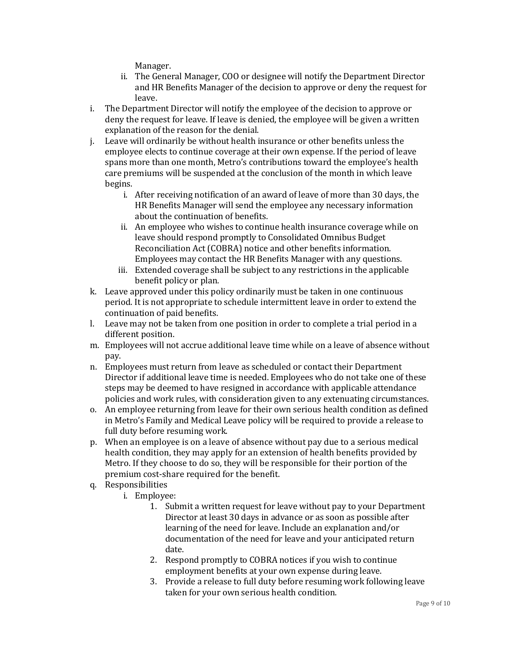Manager.

- ii. The General Manager, COO or designee will notify the Department Director and HR Benefits Manager of the decision to approve or deny the request for leave.
- i. The Department Director will notify the employee of the decision to approve or deny the request for leave. If leave is denied, the employee will be given a written explanation of the reason for the denial.
- j. Leave will ordinarily be without health insurance or other benefits unless the employee elects to continue coverage at their own expense. If the period of leave spans more than one month, Metro's contributions toward the employee's health care premiums will be suspended at the conclusion of the month in which leave begins.
	- i. After receiving notification of an award of leave of more than 30 days, the HR Benefits Manager will send the employee any necessary information about the continuation of benefits.
	- ii. An employee who wishes to continue health insurance coverage while on leave should respond promptly to Consolidated Omnibus Budget Reconciliation Act (COBRA) notice and other benefits information. Employees may contact the HR Benefits Manager with any questions.
	- iii. Extended coverage shall be subject to any restrictions in the applicable benefit policy or plan.
- k. Leave approved under this policy ordinarily must be taken in one continuous period. It is not appropriate to schedule intermittent leave in order to extend the continuation of paid benefits.
- l. Leave may not be taken from one position in order to complete a trial period in a different position.
- m. Employees will not accrue additional leave time while on a leave of absence without pay.
- n. Employees must return from leave as scheduled or contact their Department Director if additional leave time is needed. Employees who do not take one of these steps may be deemed to have resigned in accordance with applicable attendance policies and work rules, with consideration given to any extenuating circumstances.
- o. An employee returning from leave for their own serious health condition as defined in Metro's Family and Medical Leave policy will be required to provide a release to full duty before resuming work.
- p. When an employee is on a leave of absence without pay due to a serious medical health condition, they may apply for an extension of health benefits provided by Metro. If they choose to do so, they will be responsible for their portion of the premium cost-share required for the benefit.
- q. Responsibilities
	- i. Employee:
		- 1. Submit a written request for leave without pay to your Department Director at least 30 days in advance or as soon as possible after learning of the need for leave. Include an explanation and/or documentation of the need for leave and your anticipated return date.
		- 2. Respond promptly to COBRA notices if you wish to continue employment benefits at your own expense during leave.
		- 3. Provide a release to full duty before resuming work following leave taken for your own serious health condition.